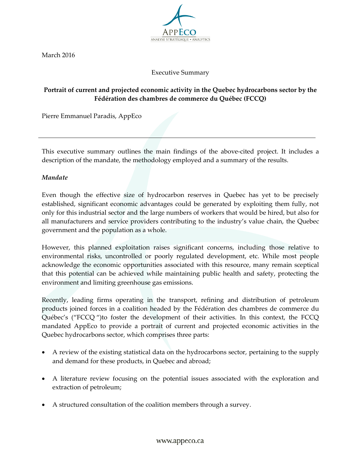

March 2016

### Executive Summary

# **Portrait of current and projected economic activity in the Quebec hydrocarbons sector by the Fédération des chambres de commerce du Québec (FCCQ)**

Pierre Emmanuel Paradis, AppEco

 This executive summary outlines the main findings of the above-cited project. It includes a description of the mandate, the methodology employed and a summary of the results.

#### *Mandate*

 Even though the effective size of hydrocarbon reserves in Quebec has yet to be precisely established, significant economic advantages could be generated by exploiting them fully, not only for this industrial sector and the large numbers of workers that would be hired, but also for all manufacturers and service providers contributing to the industry's value chain, the Quebec government and the population as a whole.

 However, this planned exploitation raises significant concerns, including those relative to environmental risks, uncontrolled or poorly regulated development, etc. While most people acknowledge the economic opportunities associated with this resource, many remain sceptical that this potential can be achieved while maintaining public health and safety, protecting the environment and limiting greenhouse gas emissions.

 Recently, leading firms operating in the transport, refining and distribution of petroleum products joined forces in a coalition headed by the Fédération des chambres de commerce du Québec's ("FCCQ ")to foster the development of their activities. In this context, the FCCQ mandated AppEco to provide a portrait of current and projected economic activities in the Quebec hydrocarbons sector, which comprises three parts:

- A review of the existing statistical data on the hydrocarbons sector, pertaining to the supply and demand for these products, in Quebec and abroad;
- A literature review focusing on the potential issues associated with the exploration and extraction of petroleum;
- A structured consultation of the coalition members through a survey.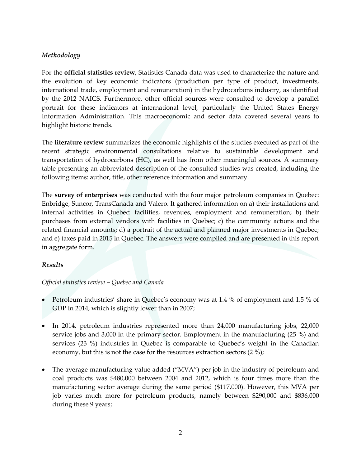## *Methodology*

 For the **official statistics review**, Statistics Canada data was used to characterize the nature and the evolution of key economic indicators (production per type of product, investments, international trade, employment and remuneration) in the hydrocarbons industry, as identified by the 2012 NAICS. Furthermore, other official sources were consulted to develop a parallel portrait for these indicators at international level, particularly the United States Energy Information Administration. This macroeconomic and sector data covered several years to highlight historic trends.

highlight historic trends.<br>The **literature review** summarizes the economic highlights of the studies executed as part of the recent strategic environmental consultations relative to sustainable development and transportation of hydrocarbons (HC), as well has from other meaningful sources. A summary table presenting an abbreviated description of the consulted studies was created, including the following items: author, title, other reference information and summary.

 The **survey of enterprises** was conducted with the four major petroleum companies in Quebec: Enbridge, Suncor, TransCanada and Valero. It gathered information on a) their installations and internal activities in Quebec: facilities, revenues, employment and remuneration; b) their purchases from external vendors with facilities in Quebec; c) the community actions and the related financial amounts; d) a portrait of the actual and planned major investments in Quebec; and e) taxes paid in 2015 in Quebec. The answers were compiled and are presented in this report in aggregate form.

#### *Results*

#### *Official statistics review – Quebec and Canada*

- Petroleum industries' share in Quebec's economy was at 1.4 % of employment and 1.5 % of GDP in 2014, which is slightly lower than in 2007;
- In 2014, petroleum industries represented more than 24,000 manufacturing jobs, 22,000 service jobs and 3,000 in the primary sector. Employment in the manufacturing (25 %) and services (23 %) industries in Quebec is comparable to-Quebec's weight in the Canadian economy, but this is not the case for the resources extraction sectors (2 %);
- The average manufacturing value added ("MVA") per job in the industry of petroleum and coal products was \$480,000 between 2004 and 2012, which is four times more than the manufacturing sector average during the same period (\$117,000). However, this MVA per job varies much more for petroleum products, namely between \$290,000 and \$836,000 during these 9 years;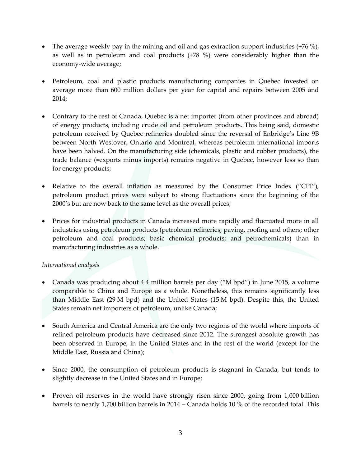- The average weekly pay in the mining and oil and gas extraction support industries (+76 %), as well as in petroleum and coal products (+78 %) were considerably higher than the economy-wide average;
- average more than 600 million dollars per year for capital and repairs between 2005 and Petroleum, coal and plastic products manufacturing companies in Quebec invested on 2014;
- Contrary to the rest of Canada, Quebec is a net importer (from other provinces and abroad) of energy products, including crude oil and petroleum products. This being said, domestic petroleum received by Quebec refineries doubled since the reversal of Enbridge's Line 9B between North Westover, Ontario and Montreal, whereas petroleum international imports have been halved. On the manufacturing side (chemicals, plastic and rubber products), the trade balance (=exports minus imports) remains negative in Quebec, however less so than for energy products;
- Relative to the overall inflation as measured by the Consumer Price Index ("CPI"), petroleum product prices were subject to strong fluctuations since the beginning of the 2000's but are now back to the same level as the overall prices;
- Prices for industrial products in Canada increased more rapidly and fluctuated more in all petroleum and coal products; basic chemical products; and petrochemicals) than in manufacturing industries as a whole. industries using petroleum products (petroleum refineries, paving, roofing and others; other

#### *International analysis*

- Canada was producing about 4.4 million barrels per day ("M bpd") in June 2015, a volume than Middle East (29 M bpd) and the United States (15 M bpd). Despite this, the United States remain net importers of petroleum, unlike Canada; comparable to China and Europe as a whole. Nonetheless, this remains significantly less
- South America and Central America are the only two regions of the world where imports of refined petroleum products have decreased since 2012. The strongest absolute growth has been observed in Europe, in the United States and in the rest of the world (except for the Middle East, Russia and China);
- Since 2000, the consumption of petroleum products is stagnant in Canada, but tends to slightly decrease in the United States and in Europe;
- Proven oil reserves in the world have strongly risen since 2000, going from 1,000 billion barrels to nearly 1,700 billion barrels in 2014 – Canada holds 10 % of the recorded total. This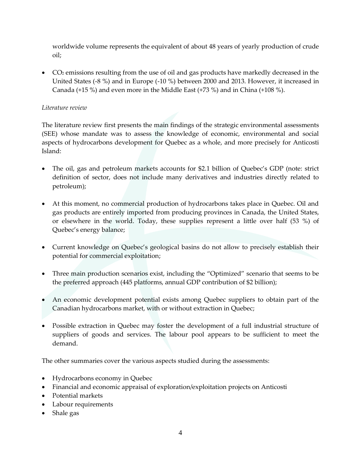worldwide volume represents the equivalent of about 48 years of yearly production of crude oil;

 United States (-8 %) and in Europe (-10 %) between 2000 and 2013. However, it increased in Canada (+15 %) and even more in the Middle East (+73 %) and in China (+108 %). CO2 emissions resulting from the use of oil and gas products have markedly decreased in the

# *Literature review*

 The literature review first presents the main findings of the strategic environmental assessments (SEE) whose mandate was to assess the knowledge of economic, environmental and social aspects of hydrocarbons development for Quebec as a whole, and more precisely for Anticosti Island:

- The oil, gas and petroleum markets accounts for \$2.1 billion of Quebec's GDP (note: strict definition of sector, does not include many derivatives and industries directly related to petroleum);
- At this moment, no commercial production of hydrocarbons takes place in Quebec. Oil and gas products are entirely imported from producing provinces in Canada, the United States, or elsewhere in the world. Today, these supplies represent a little over half (53 %) of Quebec's energy balance;
- Current knowledge on Quebec's geological basins do not allow to precisely establish their potential for commercial exploitation;
- Three main production scenarios exist, including the "Optimized" scenario that seems to be the preferred approach (445 platforms, annual GDP contribution of \$2 billion);
- Canadian hydrocarbons market, with or without extraction in Quebec; An economic development potential exists among Quebec suppliers to obtain part of the
- Possible extraction in Quebec may foster the development of a full industrial structure of suppliers of goods and services. The labour pool appears to be sufficient to meet the demand.

The other summaries cover the various aspects studied during the assessments:

- Hydrocarbons economy in Quebec
- Financial and economic appraisal of exploration/exploitation projects on Anticosti
- Potential markets
- Labour requirements
- Shale gas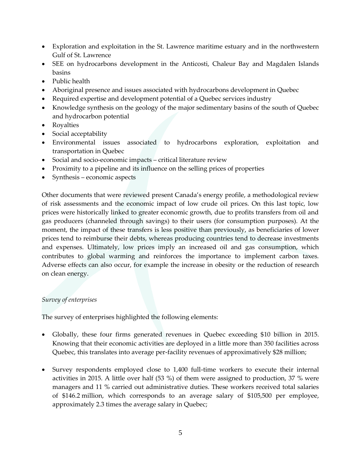- Exploration and exploitation in the St. Lawrence maritime estuary and in the northwestern Gulf of St. Lawrence
- SEE on hydrocarbons development in the Anticosti, Chaleur Bay and Magdalen Islands basins
- Public health
- Aboriginal presence and issues associated with hydrocarbons development in Quebec
- Required expertise and development potential of a Quebec services industry
- Knowledge synthesis on the geology of the major sedimentary basins of the south of Quebec and hydrocarbon potential
- Royalties
- Social acceptability
- Environmental issues associated to hydrocarbons exploration, exploitation and transportation in Quebec
- Social and socio-economic impacts critical literature review
- Proximity to a pipeline and its influence on the selling prices of properties
- Synthesis economic aspects

Other documents that were reviewed present Canada's energy profile, a methodological review of risk assessments and the economic impact of low crude oil prices. On this last topic, low prices were historically linked to greater economic growth, due to profits transfers from oil and gas producers (channeled through savings) to their users (for consumption purposes). At the moment, the impact of these transfers is less positive than previously, as beneficiaries of lower prices tend to reimburse their debts, whereas producing countries tend to decrease investments and expenses. Ultimately, low prices imply an increased oil and gas consumption, which contributes to global warming and reinforces the importance to implement carbon taxes. Adverse effects can also occur, for example the increase in obesity or the reduction of research on clean energy.

## *Survey of enterprises*

The survey of enterprises highlighted the following elements:

- Globally, these four firms generated revenues in Quebec exceeding \$10 billion in 2015. Knowing that their economic activities are deployed in a little more than 350 facilities across Quebec, this translates into average per-facility revenues of approximatively \$28 million;
- Survey respondents employed close to 1,400 full-time workers to execute their internal activities in 2015. A little over half (53 %) of them were assigned to production, 37 % were managers and 11 % carried out administrative duties. These workers received total salaries of \$146.2 million, which corresponds to an average salary of \$105,500 per employee, approximately 2.3 times the average salary in Quebec;